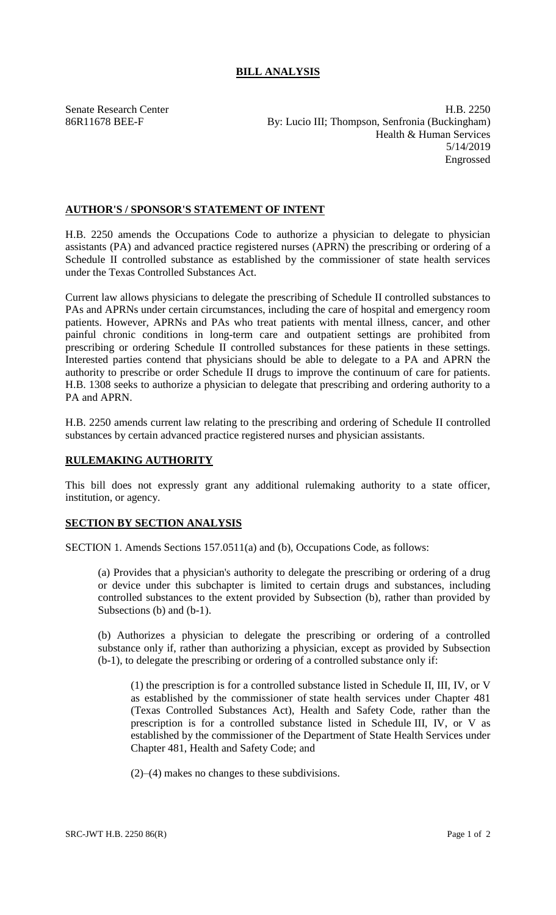Senate Research Center **H.B. 2250** 86R11678 BEE-F By: Lucio III; Thompson, Senfronia (Buckingham) Health & Human Services 5/14/2019 Engrossed

## **AUTHOR'S / SPONSOR'S STATEMENT OF INTENT**

H.B. 2250 amends the Occupations Code to authorize a physician to delegate to physician assistants (PA) and advanced practice registered nurses (APRN) the prescribing or ordering of a Schedule II controlled substance as established by the commissioner of state health services under the Texas Controlled Substances Act.

Current law allows physicians to delegate the prescribing of Schedule II controlled substances to PAs and APRNs under certain circumstances, including the care of hospital and emergency room patients. However, APRNs and PAs who treat patients with mental illness, cancer, and other painful chronic conditions in long-term care and outpatient settings are prohibited from prescribing or ordering Schedule II controlled substances for these patients in these settings. Interested parties contend that physicians should be able to delegate to a PA and APRN the authority to prescribe or order Schedule II drugs to improve the continuum of care for patients. H.B. 1308 seeks to authorize a physician to delegate that prescribing and ordering authority to a PA and APRN.

H.B. 2250 amends current law relating to the prescribing and ordering of Schedule II controlled substances by certain advanced practice registered nurses and physician assistants.

## **RULEMAKING AUTHORITY**

This bill does not expressly grant any additional rulemaking authority to a state officer, institution, or agency.

## **SECTION BY SECTION ANALYSIS**

SECTION 1. Amends Sections 157.0511(a) and (b), Occupations Code, as follows:

(a) Provides that a physician's authority to delegate the prescribing or ordering of a drug or device under this subchapter is limited to certain drugs and substances, including controlled substances to the extent provided by Subsection (b), rather than provided by Subsections (b) and (b-1).

(b) Authorizes a physician to delegate the prescribing or ordering of a controlled substance only if, rather than authorizing a physician, except as provided by Subsection (b-1), to delegate the prescribing or ordering of a controlled substance only if:

(1) the prescription is for a controlled substance listed in Schedule II, III, IV, or V as established by the commissioner of state health services under Chapter 481 (Texas Controlled Substances Act), Health and Safety Code, rather than the prescription is for a controlled substance listed in Schedule III, IV, or V as established by the commissioner of the Department of State Health Services under Chapter 481, Health and Safety Code; and

(2)–(4) makes no changes to these subdivisions.